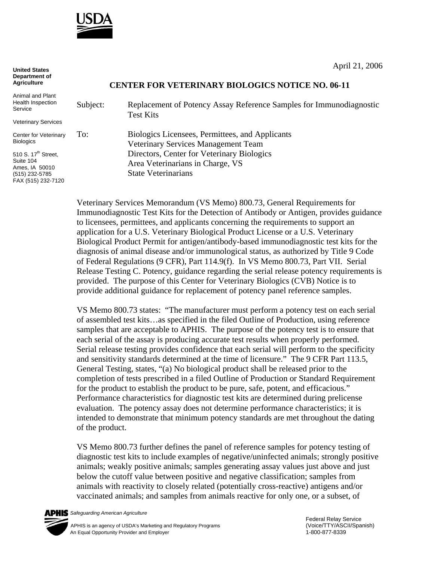

April 21, 2006

## **CENTER FOR VETERINARY BIOLOGICS NOTICE NO. 06-11**

Animal and Plant Health Inspection Service

**United States Department of Agriculture**

Veterinary Services

Center for Veterinary **Biologics** 

510 S. 17<sup>th</sup> Street, Suite 104 Ames, IA 50010 (515) 232-5785 FAX (515) 232-7120

Subject: Replacement of Potency Assay Reference Samples for Immunodiagnostic Test Kits

To: Biologics Licensees, Permittees, and Applicants Veterinary Services Management Team Directors, Center for Veterinary Biologics Area Veterinarians in Charge, VS State Veterinarians

Veterinary Services Memorandum (VS Memo) 800.73, General Requirements for Immunodiagnostic Test Kits for the Detection of Antibody or Antigen, provides guidance to licensees, permittees, and applicants concerning the requirements to support an application for a U.S. Veterinary Biological Product License or a U.S. Veterinary Biological Product Permit for antigen/antibody-based immunodiagnostic test kits for the diagnosis of animal disease and/or immunological status, as authorized by Title 9 Code of Federal Regulations (9 CFR), Part 114.9(f). In VS Memo 800.73, Part VII. Serial Release Testing C. Potency, guidance regarding the serial release potency requirements is provided. The purpose of this Center for Veterinary Biologics (CVB) Notice is to provide additional guidance for replacement of potency panel reference samples.

VS Memo 800.73 states: "The manufacturer must perform a potency test on each serial of assembled test kits…as specified in the filed Outline of Production, using reference samples that are acceptable to APHIS. The purpose of the potency test is to ensure that each serial of the assay is producing accurate test results when properly performed. Serial release testing provides confidence that each serial will perform to the specificity and sensitivity standards determined at the time of licensure." The 9 CFR Part 113.5, General Testing, states, "(a) No biological product shall be released prior to the completion of tests prescribed in a filed Outline of Production or Standard Requirement for the product to establish the product to be pure, safe, potent, and efficacious." Performance characteristics for diagnostic test kits are determined during prelicense evaluation. The potency assay does not determine performance characteristics; it is intended to demonstrate that minimum potency standards are met throughout the dating of the product.

VS Memo 800.73 further defines the panel of reference samples for potency testing of diagnostic test kits to include examples of negative/uninfected animals; strongly positive animals; weakly positive animals; samples generating assay values just above and just below the cutoff value between positive and negative classification; samples from animals with reactivity to closely related (potentially cross-reactive) antigens and/or vaccinated animals; and samples from animals reactive for only one, or a subset, of

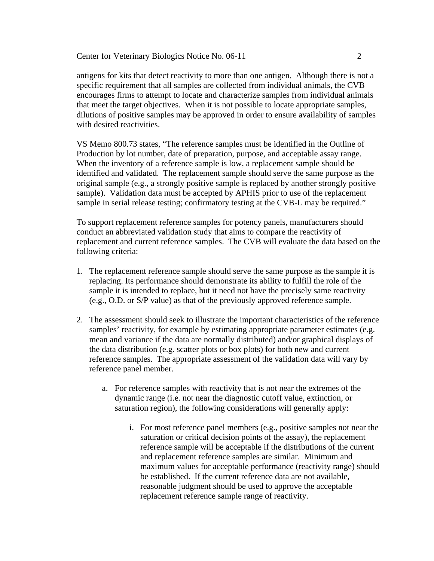antigens for kits that detect reactivity to more than one antigen. Although there is not a specific requirement that all samples are collected from individual animals, the CVB encourages firms to attempt to locate and characterize samples from individual animals that meet the target objectives. When it is not possible to locate appropriate samples, dilutions of positive samples may be approved in order to ensure availability of samples with desired reactivities.

VS Memo 800.73 states, "The reference samples must be identified in the Outline of Production by lot number, date of preparation, purpose, and acceptable assay range. When the inventory of a reference sample is low, a replacement sample should be identified and validated. The replacement sample should serve the same purpose as the original sample (e.g., a strongly positive sample is replaced by another strongly positive sample). Validation data must be accepted by APHIS prior to use of the replacement sample in serial release testing; confirmatory testing at the CVB-L may be required."

To support replacement reference samples for potency panels, manufacturers should conduct an abbreviated validation study that aims to compare the reactivity of replacement and current reference samples. The CVB will evaluate the data based on the following criteria:

- 1. The replacement reference sample should serve the same purpose as the sample it is replacing. Its performance should demonstrate its ability to fulfill the role of the sample it is intended to replace, but it need not have the precisely same reactivity (e.g., O.D. or S/P value) as that of the previously approved reference sample.
- 2. The assessment should seek to illustrate the important characteristics of the reference samples' reactivity, for example by estimating appropriate parameter estimates (e.g. mean and variance if the data are normally distributed) and/or graphical displays of the data distribution (e.g. scatter plots or box plots) for both new and current reference samples. The appropriate assessment of the validation data will vary by reference panel member.
	- a. For reference samples with reactivity that is not near the extremes of the dynamic range (i.e. not near the diagnostic cutoff value, extinction, or saturation region), the following considerations will generally apply:
		- i. For most reference panel members (e.g., positive samples not near the saturation or critical decision points of the assay), the replacement reference sample will be acceptable if the distributions of the current and replacement reference samples are similar. Minimum and maximum values for acceptable performance (reactivity range) should be established. If the current reference data are not available, reasonable judgment should be used to approve the acceptable replacement reference sample range of reactivity.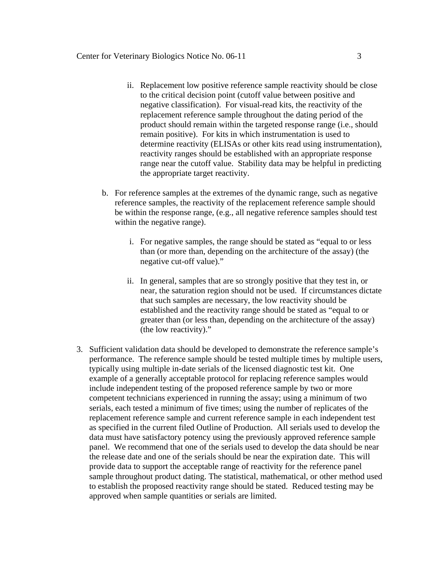- ii. Replacement low positive reference sample reactivity should be close to the critical decision point (cutoff value between positive and negative classification). For visual-read kits, the reactivity of the replacement reference sample throughout the dating period of the product should remain within the targeted response range (i.e., should remain positive). For kits in which instrumentation is used to determine reactivity (ELISAs or other kits read using instrumentation), reactivity ranges should be established with an appropriate response range near the cutoff value. Stability data may be helpful in predicting the appropriate target reactivity.
- b. For reference samples at the extremes of the dynamic range, such as negative reference samples, the reactivity of the replacement reference sample should be within the response range, (e.g., all negative reference samples should test within the negative range).
	- i. For negative samples, the range should be stated as "equal to or less than (or more than, depending on the architecture of the assay) (the negative cut-off value)."
	- ii. In general, samples that are so strongly positive that they test in, or near, the saturation region should not be used. If circumstances dictate that such samples are necessary, the low reactivity should be established and the reactivity range should be stated as "equal to or greater than (or less than, depending on the architecture of the assay) (the low reactivity)."
- 3. Sufficient validation data should be developed to demonstrate the reference sample's performance. The reference sample should be tested multiple times by multiple users, typically using multiple in-date serials of the licensed diagnostic test kit. One example of a generally acceptable protocol for replacing reference samples would include independent testing of the proposed reference sample by two or more competent technicians experienced in running the assay; using a minimum of two serials, each tested a minimum of five times; using the number of replicates of the replacement reference sample and current reference sample in each independent test as specified in the current filed Outline of Production. All serials used to develop the data must have satisfactory potency using the previously approved reference sample panel. We recommend that one of the serials used to develop the data should be near the release date and one of the serials should be near the expiration date. This will provide data to support the acceptable range of reactivity for the reference panel sample throughout product dating. The statistical, mathematical, or other method used to establish the proposed reactivity range should be stated. Reduced testing may be approved when sample quantities or serials are limited.